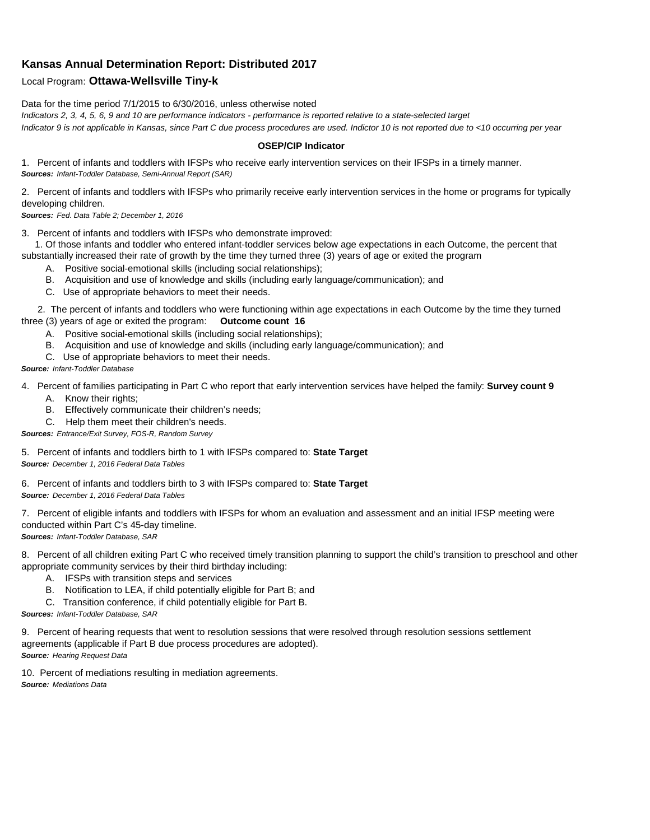## **Kansas Annual Determination Report: Distributed 2017**

## Local Program: **Ottawa-Wellsville Tiny-k**

Data for the time period 7/1/2015 to 6/30/2016, unless otherwise noted *Indicators 2, 3, 4, 5, 6, 9 and 10 are performance indicators - performance is reported relative to a state-selected target Indicator 9 is not applicable in Kansas, since Part C due process procedures are used. Indictor 10 is not reported due to <10 occurring per year*

## **OSEP/CIP Indicator**

1. Percent of infants and toddlers with IFSPs who receive early intervention services on their IFSPs in a timely manner. *Sources: Infant-Toddler Database, Semi-Annual Report (SAR)* 

2. Percent of infants and toddlers with IFSPs who primarily receive early intervention services in the home or programs for typically developing children.

*Sources: Fed. Data Table 2; December 1, 2016*

3. Percent of infants and toddlers with IFSPs who demonstrate improved:

 1. Of those infants and toddler who entered infant-toddler services below age expectations in each Outcome, the percent that substantially increased their rate of growth by the time they turned three (3) years of age or exited the program

- A. Positive social-emotional skills (including social relationships);
- B. Acquisition and use of knowledge and skills (including early language/communication); and
- C. Use of appropriate behaviors to meet their needs.

 2. The percent of infants and toddlers who were functioning within age expectations in each Outcome by the time they turned three (3) years of age or exited the program: **Outcome count 16**

- A. Positive social-emotional skills (including social relationships);
- B. Acquisition and use of knowledge and skills (including early language/communication); and
- C. Use of appropriate behaviors to meet their needs.

## *Source: Infant-Toddler Database*

4. Percent of families participating in Part C who report that early intervention services have helped the family: **Survey count 9**

- A. Know their rights;
- B. Effectively communicate their children's needs;
- C. Help them meet their children's needs.
- *Sources: Entrance/Exit Survey, FOS-R, Random Survey*

5. Percent of infants and toddlers birth to 1 with IFSPs compared to: **State Target** *Source: December 1, 2016 Federal Data Tables*

6. Percent of infants and toddlers birth to 3 with IFSPs compared to: **State Target** *Source: December 1, 2016 Federal Data Tables*

7. Percent of eligible infants and toddlers with IFSPs for whom an evaluation and assessment and an initial IFSP meeting were conducted within Part C's 45-day timeline.

*Sources: Infant-Toddler Database, SAR*

8. Percent of all children exiting Part C who received timely transition planning to support the child's transition to preschool and other appropriate community services by their third birthday including:

- A. IFSPs with transition steps and services
- B. Notification to LEA, if child potentially eligible for Part B; and
- C. Transition conference, if child potentially eligible for Part B.

*Sources: Infant-Toddler Database, SAR*

9. Percent of hearing requests that went to resolution sessions that were resolved through resolution sessions settlement agreements (applicable if Part B due process procedures are adopted). *Source: Hearing Request Data*

10. Percent of mediations resulting in mediation agreements. *Source: Mediations Data*